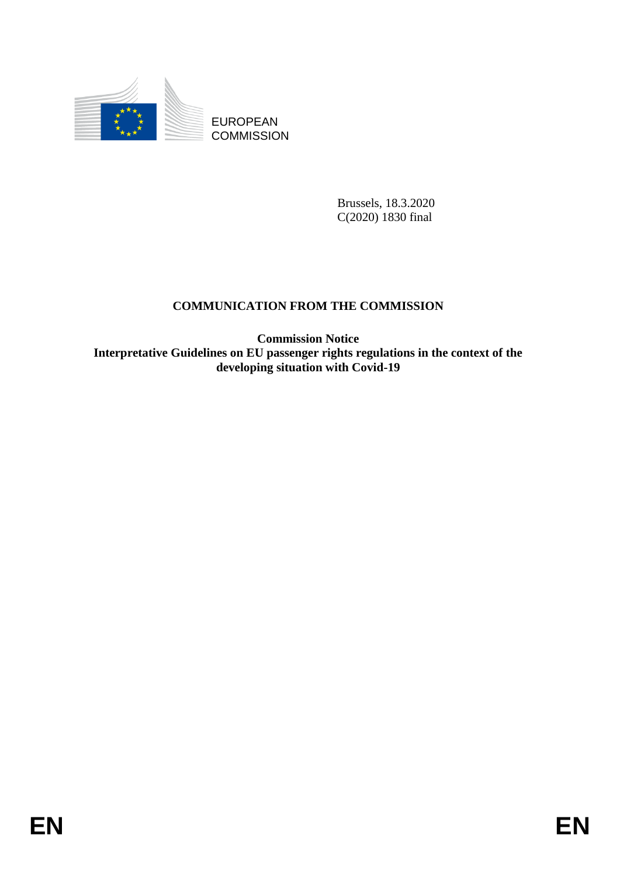

**COMMISSION** 

Brussels, 18.3.2020 C(2020) 1830 final

# **COMMUNICATION FROM THE COMMISSION**

EUROPEAN<br>
EUROPEAN<br>
ENERGIN ENGINEER<br>
COMMUNICATION FROM THE COMMISSION<br>
COMMUNICATION FROM THE COMMISSION<br>
Commission Nether<br>
Commission Nether exploritions in the context of the<br>
developing struation with Covid-19<br>
EN **Commission Notice Interpretative Guidelines on EU passenger rights regulations in the context of the developing situation with Covid-19**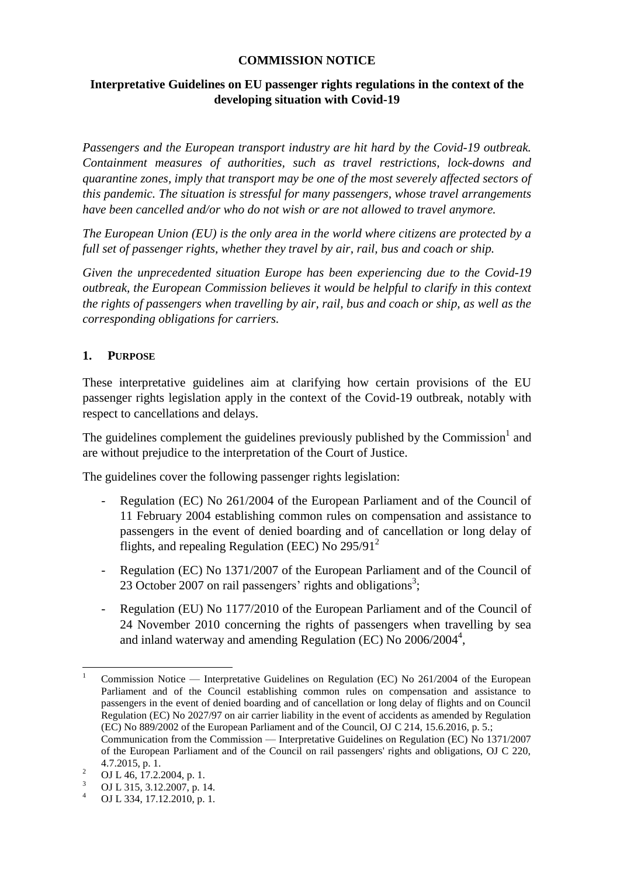#### **COMMISSION NOTICE**

### **Interpretative Guidelines on EU passenger rights regulations in the context of the developing situation with Covid-19**

*Passengers and the European transport industry are hit hard by the Covid-19 outbreak. Containment measures of authorities, such as travel restrictions, lock-downs and quarantine zones, imply that transport may be one of the most severely affected sectors of this pandemic. The situation is stressful for many passengers, whose travel arrangements have been cancelled and/or who do not wish or are not allowed to travel anymore.*

*The European Union (EU) is the only area in the world where citizens are protected by a full set of passenger rights, whether they travel by air, rail, bus and coach or ship.*

*Given the unprecedented situation Europe has been experiencing due to the Covid-19 outbreak, the European Commission believes it would be helpful to clarify in this context the rights of passengers when travelling by air, rail, bus and coach or ship, as well as the corresponding obligations for carriers.*

### **1. PURPOSE**

These interpretative guidelines aim at clarifying how certain provisions of the EU passenger rights legislation apply in the context of the Covid-19 outbreak, notably with respect to cancellations and delays.

The guidelines complement the guidelines previously published by the Commission<sup>1</sup> and are without prejudice to the interpretation of the Court of Justice.

The guidelines cover the following passenger rights legislation:

- Regulation (EC) No 261/2004 of the European Parliament and of the Council of 11 February 2004 establishing common rules on compensation and assistance to passengers in the event of denied boarding and of cancellation or long delay of flights, and repealing Regulation (EEC) No 295/91<sup>2</sup>
- Regulation (EC) No 1371/2007 of the European Parliament and of the Council of 23 October 2007 on rail passengers' rights and obligations<sup>3</sup>;
- Regulation (EU) No 1177/2010 of the European Parliament and of the Council of 24 November 2010 concerning the rights of passengers when travelling by sea and inland waterway and amending Regulation (EC) No 2006/2004<sup>4</sup>,

 $\overline{a}$ 

<sup>1</sup> Commission Notice — Interpretative Guidelines on Regulation (EC) No 261/2004 of the European Parliament and of the Council establishing common rules on compensation and assistance to passengers in the event of denied boarding and of cancellation or long delay of flights and on Council Regulation (EC) No 2027/97 on air carrier liability in the event of accidents as amended by Regulation (EC) No 889/2002 of the European Parliament and of the Council, OJ C 214, 15.6.2016, p. 5.; Communication from the Commission — Interpretative Guidelines on Regulation (EC) No 1371/2007 of the European Parliament and of the Council on rail passengers' rights and obligations, OJ C 220, 4.7.2015, p. 1.

<sup>&</sup>lt;sup>2</sup> OJ L 46, 17.2.2004, p. 1.<br><sup>3</sup> OJ L 315, 2.12.2007, p. 1.

 $\frac{3}{4}$  OJ L 315, 3.12.2007, p. 14.

<sup>4</sup> OJ L 334, 17.12.2010, p. 1.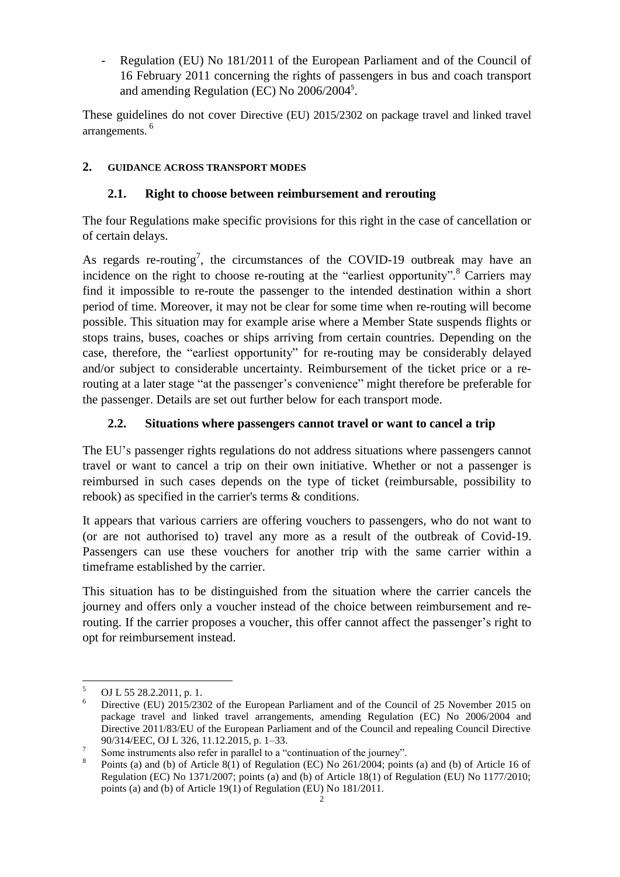Regulation (EU) No 181/2011 of the European Parliament and of the Council of 16 February 2011 concerning the rights of passengers in bus and coach transport and amending Regulation (EC) No 2006/2004<sup>5</sup>.

These guidelines do not cover Directive (EU) 2015/2302 on package travel and linked travel arrangements.<sup>6</sup>

## **2. GUIDANCE ACROSS TRANSPORT MODES**

## **2.1. Right to choose between reimbursement and rerouting**

The four Regulations make specific provisions for this right in the case of cancellation or of certain delays.

As regards re-routing<sup>7</sup>, the circumstances of the COVID-19 outbreak may have an incidence on the right to choose re-routing at the "earliest opportunity".<sup>8</sup> Carriers may find it impossible to re-route the passenger to the intended destination within a short period of time. Moreover, it may not be clear for some time when re-routing will become possible. This situation may for example arise where a Member State suspends flights or stops trains, buses, coaches or ships arriving from certain countries. Depending on the case, therefore, the "earliest opportunity" for re-routing may be considerably delayed and/or subject to considerable uncertainty. Reimbursement of the ticket price or a rerouting at a later stage "at the passenger's convenience" might therefore be preferable for the passenger. Details are set out further below for each transport mode.

### **2.2. Situations where passengers cannot travel or want to cancel a trip**

The EU's passenger rights regulations do not address situations where passengers cannot travel or want to cancel a trip on their own initiative. Whether or not a passenger is reimbursed in such cases depends on the type of ticket (reimbursable, possibility to rebook) as specified in the carrier's terms & conditions.

It appears that various carriers are offering vouchers to passengers, who do not want to (or are not authorised to) travel any more as a result of the outbreak of Covid-19. Passengers can use these vouchers for another trip with the same carrier within a timeframe established by the carrier.

This situation has to be distinguished from the situation where the carrier cancels the journey and offers only a voucher instead of the choice between reimbursement and rerouting. If the carrier proposes a voucher, this offer cannot affect the passenger's right to opt for reimbursement instead.

 $\frac{1}{5}$ OJ L 55 28.2.2011, p. 1.

<sup>6</sup> Directive (EU) 2015/2302 of the European Parliament and of the Council of 25 November 2015 on package travel and linked travel arrangements, amending Regulation (EC) No 2006/2004 and Directive 2011/83/EU of the European Parliament and of the Council and repealing Council Directive 90/314/EEC, OJ L 326, 11.12.2015, p. 1–33.

<sup>7</sup> Some instruments also refer in parallel to a "continuation of the journey".

<sup>8</sup> Points (a) and (b) of Article 8(1) of Regulation (EC) No 261/2004; points (a) and (b) of Article 16 of Regulation (EC) No 1371/2007; points (a) and (b) of Article 18(1) of Regulation (EU) No 1177/2010; points (a) and (b) of Article 19(1) of Regulation (EU) No 181/2011.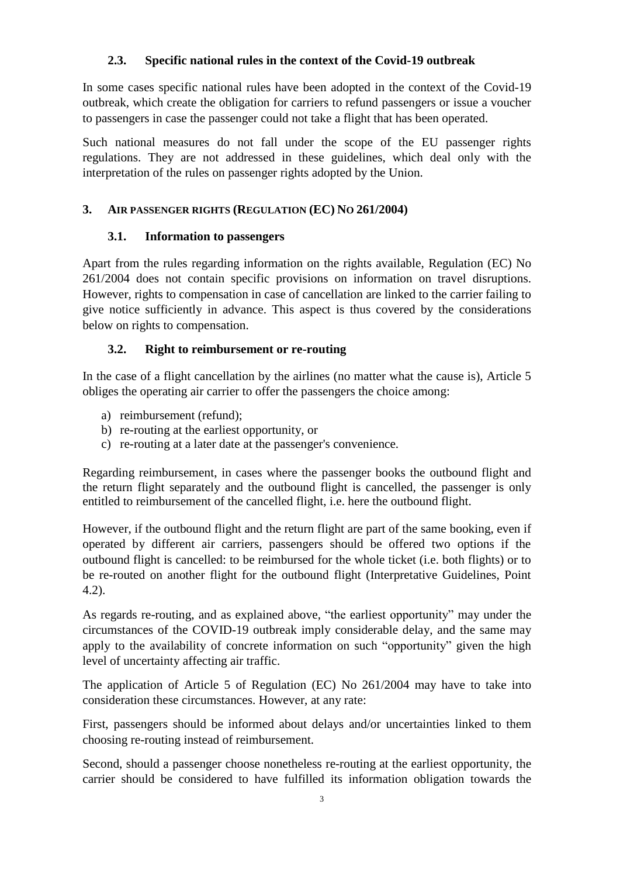### **2.3. Specific national rules in the context of the Covid-19 outbreak**

In some cases specific national rules have been adopted in the context of the Covid-19 outbreak, which create the obligation for carriers to refund passengers or issue a voucher to passengers in case the passenger could not take a flight that has been operated.

Such national measures do not fall under the scope of the EU passenger rights regulations. They are not addressed in these guidelines, which deal only with the interpretation of the rules on passenger rights adopted by the Union.

#### **3. AIR PASSENGER RIGHTS (REGULATION (EC) NO 261/2004)**

### **3.1. Information to passengers**

Apart from the rules regarding information on the rights available, Regulation (EC) No 261/2004 does not contain specific provisions on information on travel disruptions. However, rights to compensation in case of cancellation are linked to the carrier failing to give notice sufficiently in advance. This aspect is thus covered by the considerations below on rights to compensation.

### **3.2. Right to reimbursement or re-routing**

In the case of a flight cancellation by the airlines (no matter what the cause is), Article 5 obliges the operating air carrier to offer the passengers the choice among:

- a) reimbursement (refund);
- b) re-routing at the earliest opportunity, or
- c) re-routing at a later date at the passenger's convenience.

Regarding reimbursement, in cases where the passenger books the outbound flight and the return flight separately and the outbound flight is cancelled, the passenger is only entitled to reimbursement of the cancelled flight, i.e. here the outbound flight.

However, if the outbound flight and the return flight are part of the same booking, even if operated by different air carriers, passengers should be offered two options if the outbound flight is cancelled: to be reimbursed for the whole ticket (i.e. both flights) or to be re-routed on another flight for the outbound flight (Interpretative Guidelines, Point 4.2).

As regards re-routing, and as explained above, "the earliest opportunity" may under the circumstances of the COVID-19 outbreak imply considerable delay, and the same may apply to the availability of concrete information on such "opportunity" given the high level of uncertainty affecting air traffic.

The application of Article 5 of Regulation (EC) No 261/2004 may have to take into consideration these circumstances. However, at any rate:

First, passengers should be informed about delays and/or uncertainties linked to them choosing re-routing instead of reimbursement.

Second, should a passenger choose nonetheless re-routing at the earliest opportunity, the carrier should be considered to have fulfilled its information obligation towards the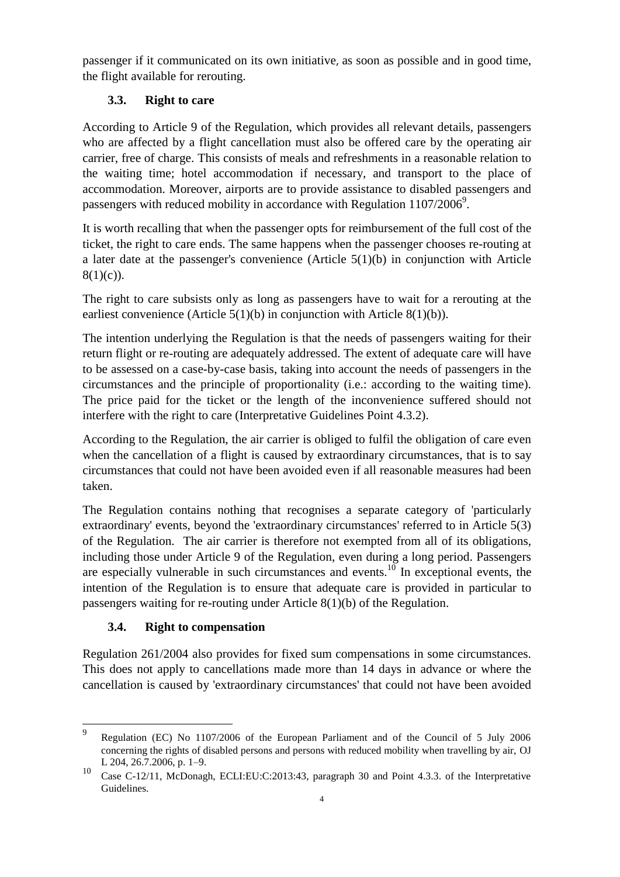passenger if it communicated on its own initiative, as soon as possible and in good time, the flight available for rerouting.

### **3.3. Right to care**

According to Article 9 of the Regulation, which provides all relevant details, passengers who are affected by a flight cancellation must also be offered care by the operating air carrier, free of charge. This consists of meals and refreshments in a reasonable relation to the waiting time; hotel accommodation if necessary, and transport to the place of accommodation. Moreover, airports are to provide assistance to disabled passengers and passengers with reduced mobility in accordance with Regulation  $1107/2006^9$ .

It is worth recalling that when the passenger opts for reimbursement of the full cost of the ticket, the right to care ends. The same happens when the passenger chooses re-routing at a later date at the passenger's convenience (Article 5(1)(b) in conjunction with Article  $8(1)(c)$ ).

The right to care subsists only as long as passengers have to wait for a rerouting at the earliest convenience (Article  $5(1)(b)$  in conjunction with Article  $8(1)(b)$ ).

The intention underlying the Regulation is that the needs of passengers waiting for their return flight or re-routing are adequately addressed. The extent of adequate care will have to be assessed on a case-by-case basis, taking into account the needs of passengers in the circumstances and the principle of proportionality (i.e.: according to the waiting time). The price paid for the ticket or the length of the inconvenience suffered should not interfere with the right to care (Interpretative Guidelines Point 4.3.2).

According to the Regulation, the air carrier is obliged to fulfil the obligation of care even when the cancellation of a flight is caused by extraordinary circumstances, that is to say circumstances that could not have been avoided even if all reasonable measures had been taken.

The Regulation contains nothing that recognises a separate category of 'particularly extraordinary' events, beyond the 'extraordinary circumstances' referred to in Article 5(3) of the Regulation. The air carrier is therefore not exempted from all of its obligations, including those under Article 9 of the Regulation, even during a long period. Passengers are especially vulnerable in such circumstances and events.<sup>10</sup> In exceptional events, the intention of the Regulation is to ensure that adequate care is provided in particular to passengers waiting for re-routing under Article 8(1)(b) of the Regulation.

## **3.4. Right to compensation**

Regulation 261/2004 also provides for fixed sum compensations in some circumstances. This does not apply to cancellations made more than 14 days in advance or where the cancellation is caused by 'extraordinary circumstances' that could not have been avoided

<sup>—&</sup>lt;br>9 Regulation (EC) No 1107/2006 of the European Parliament and of the Council of 5 July 2006 concerning the rights of disabled persons and persons with reduced mobility when travelling by air, OJ L 204, 26.7.2006, p. 1–9.

<sup>10</sup> Case C-12/11, McDonagh, ECLI:EU:C:2013:43, paragraph 30 and Point 4.3.3. of the Interpretative Guidelines.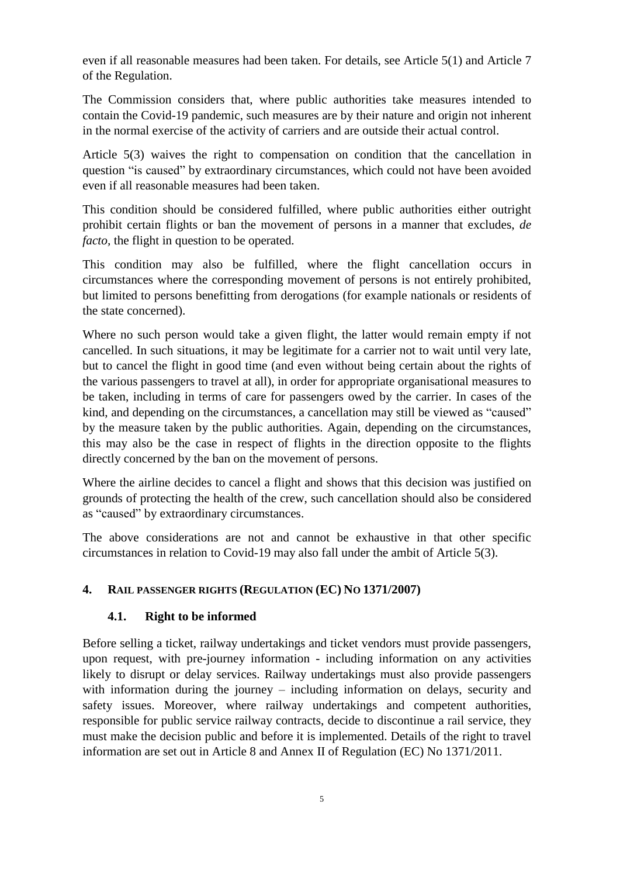even if all reasonable measures had been taken. For details, see Article 5(1) and Article 7 of the Regulation.

The Commission considers that, where public authorities take measures intended to contain the Covid-19 pandemic, such measures are by their nature and origin not inherent in the normal exercise of the activity of carriers and are outside their actual control.

Article 5(3) waives the right to compensation on condition that the cancellation in question "is caused" by extraordinary circumstances, which could not have been avoided even if all reasonable measures had been taken.

This condition should be considered fulfilled, where public authorities either outright prohibit certain flights or ban the movement of persons in a manner that excludes, *de facto,* the flight in question to be operated.

This condition may also be fulfilled, where the flight cancellation occurs in circumstances where the corresponding movement of persons is not entirely prohibited, but limited to persons benefitting from derogations (for example nationals or residents of the state concerned).

Where no such person would take a given flight, the latter would remain empty if not cancelled. In such situations, it may be legitimate for a carrier not to wait until very late, but to cancel the flight in good time (and even without being certain about the rights of the various passengers to travel at all), in order for appropriate organisational measures to be taken, including in terms of care for passengers owed by the carrier. In cases of the kind, and depending on the circumstances, a cancellation may still be viewed as "caused" by the measure taken by the public authorities. Again, depending on the circumstances, this may also be the case in respect of flights in the direction opposite to the flights directly concerned by the ban on the movement of persons.

Where the airline decides to cancel a flight and shows that this decision was justified on grounds of protecting the health of the crew, such cancellation should also be considered as "caused" by extraordinary circumstances.

The above considerations are not and cannot be exhaustive in that other specific circumstances in relation to Covid-19 may also fall under the ambit of Article 5(3).

#### **4. RAIL PASSENGER RIGHTS (REGULATION (EC) NO 1371/2007)**

#### **4.1. Right to be informed**

Before selling a ticket, railway undertakings and ticket vendors must provide passengers, upon request, with pre-journey information - including information on any activities likely to disrupt or delay services. Railway undertakings must also provide passengers with information during the journey – including information on delays, security and safety issues. Moreover, where railway undertakings and competent authorities, responsible for public service railway contracts, decide to discontinue a rail service, they must make the decision public and before it is implemented. Details of the right to travel information are set out in Article 8 and Annex II of Regulation (EC) No 1371/2011.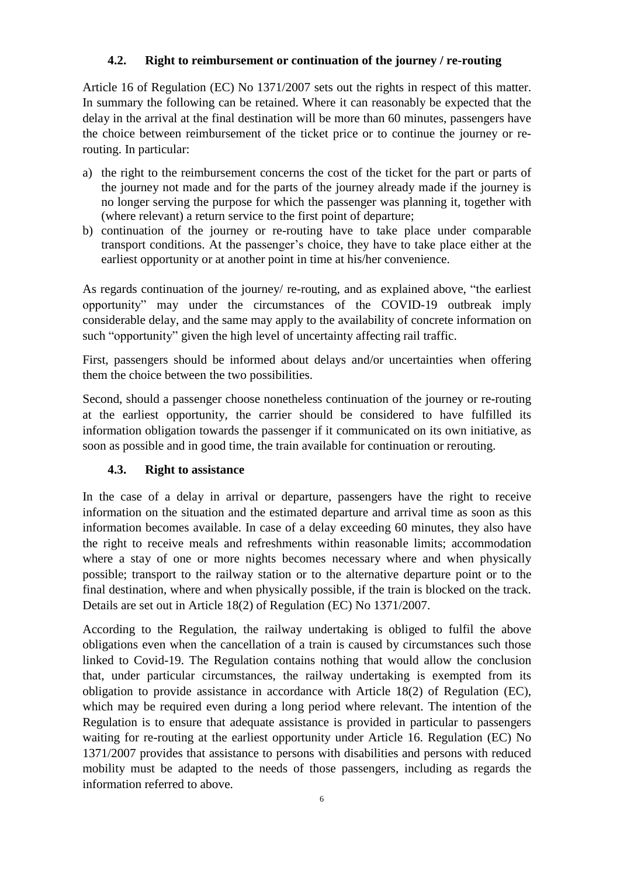#### **4.2. Right to reimbursement or continuation of the journey / re-routing**

Article 16 of Regulation (EC) No 1371/2007 sets out the rights in respect of this matter. In summary the following can be retained. Where it can reasonably be expected that the delay in the arrival at the final destination will be more than 60 minutes, passengers have the choice between reimbursement of the ticket price or to continue the journey or rerouting. In particular:

- a) the right to the reimbursement concerns the cost of the ticket for the part or parts of the journey not made and for the parts of the journey already made if the journey is no longer serving the purpose for which the passenger was planning it, together with (where relevant) a return service to the first point of departure;
- b) continuation of the journey or re-routing have to take place under comparable transport conditions. At the passenger's choice, they have to take place either at the earliest opportunity or at another point in time at his/her convenience.

As regards continuation of the journey/ re-routing, and as explained above, "the earliest opportunity" may under the circumstances of the COVID-19 outbreak imply considerable delay, and the same may apply to the availability of concrete information on such "opportunity" given the high level of uncertainty affecting rail traffic.

First, passengers should be informed about delays and/or uncertainties when offering them the choice between the two possibilities.

Second, should a passenger choose nonetheless continuation of the journey or re-routing at the earliest opportunity, the carrier should be considered to have fulfilled its information obligation towards the passenger if it communicated on its own initiative, as soon as possible and in good time, the train available for continuation or rerouting.

#### **4.3. Right to assistance**

In the case of a delay in arrival or departure, passengers have the right to receive information on the situation and the estimated departure and arrival time as soon as this information becomes available. In case of a delay exceeding 60 minutes, they also have the right to receive meals and refreshments within reasonable limits; accommodation where a stay of one or more nights becomes necessary where and when physically possible; transport to the railway station or to the alternative departure point or to the final destination, where and when physically possible, if the train is blocked on the track. Details are set out in Article 18(2) of Regulation (EC) No 1371/2007.

According to the Regulation, the railway undertaking is obliged to fulfil the above obligations even when the cancellation of a train is caused by circumstances such those linked to Covid-19. The Regulation contains nothing that would allow the conclusion that, under particular circumstances, the railway undertaking is exempted from its obligation to provide assistance in accordance with Article 18(2) of Regulation (EC), which may be required even during a long period where relevant. The intention of the Regulation is to ensure that adequate assistance is provided in particular to passengers waiting for re-routing at the earliest opportunity under Article 16. Regulation (EC) No 1371/2007 provides that assistance to persons with disabilities and persons with reduced mobility must be adapted to the needs of those passengers, including as regards the information referred to above.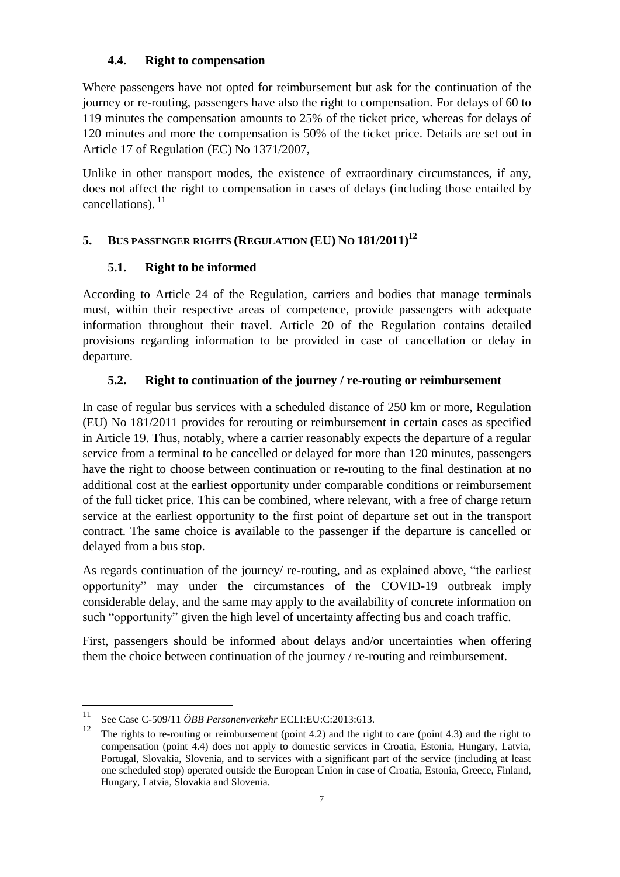#### **4.4. Right to compensation**

Where passengers have not opted for reimbursement but ask for the continuation of the journey or re-routing, passengers have also the right to compensation. For delays of 60 to 119 minutes the compensation amounts to 25% of the ticket price, whereas for delays of 120 minutes and more the compensation is 50% of the ticket price. Details are set out in Article 17 of Regulation (EC) No 1371/2007,

Unlike in other transport modes, the existence of extraordinary circumstances, if any, does not affect the right to compensation in cases of delays (including those entailed by cancellations).<sup>11</sup>

## **5. BUS PASSENGER RIGHTS (REGULATION (EU) NO 181/2011)<sup>12</sup>**

### **5.1. Right to be informed**

According to Article 24 of the Regulation, carriers and bodies that manage terminals must, within their respective areas of competence, provide passengers with adequate information throughout their travel. Article 20 of the Regulation contains detailed provisions regarding information to be provided in case of cancellation or delay in departure.

## **5.2. Right to continuation of the journey / re-routing or reimbursement**

In case of regular bus services with a scheduled distance of 250 km or more, Regulation (EU) No 181/2011 provides for rerouting or reimbursement in certain cases as specified in Article 19. Thus, notably, where a carrier reasonably expects the departure of a regular service from a terminal to be cancelled or delayed for more than 120 minutes, passengers have the right to choose between continuation or re-routing to the final destination at no additional cost at the earliest opportunity under comparable conditions or reimbursement of the full ticket price. This can be combined, where relevant, with a free of charge return service at the earliest opportunity to the first point of departure set out in the transport contract. The same choice is available to the passenger if the departure is cancelled or delayed from a bus stop.

As regards continuation of the journey/ re-routing, and as explained above, "the earliest opportunity" may under the circumstances of the COVID-19 outbreak imply considerable delay, and the same may apply to the availability of concrete information on such "opportunity" given the high level of uncertainty affecting bus and coach traffic.

First, passengers should be informed about delays and/or uncertainties when offering them the choice between continuation of the journey / re-routing and reimbursement.

 $11$ <sup>11</sup> See Case C-509/11 *ÖBB Personenverkehr* ECLI:EU:C:2013:613.<br><sup>12</sup> The sights to as against a sa spinkussement (agint 4.3) and the sight

<sup>12</sup> The rights to re-routing or reimbursement (point 4.2) and the right to care (point 4.3) and the right to compensation (point 4.4) does not apply to domestic services in Croatia, Estonia, Hungary, Latvia, Portugal, Slovakia, Slovenia, and to services with a significant part of the service (including at least one scheduled stop) operated outside the European Union in case of Croatia, Estonia, Greece, Finland, Hungary, Latvia, Slovakia and Slovenia.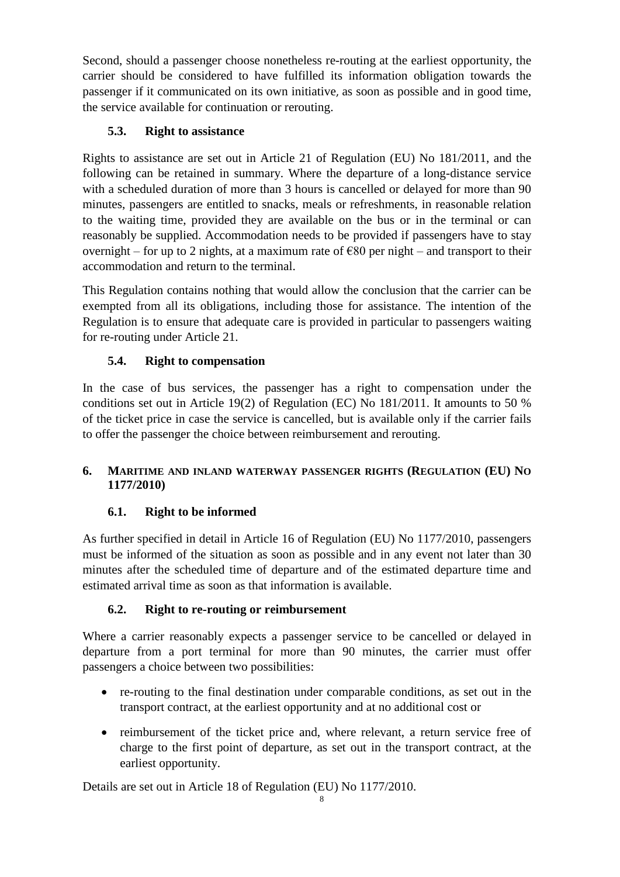Second, should a passenger choose nonetheless re-routing at the earliest opportunity, the carrier should be considered to have fulfilled its information obligation towards the passenger if it communicated on its own initiative, as soon as possible and in good time, the service available for continuation or rerouting.

# **5.3. Right to assistance**

Rights to assistance are set out in Article 21 of Regulation (EU) No 181/2011, and the following can be retained in summary. Where the departure of a long-distance service with a scheduled duration of more than 3 hours is cancelled or delayed for more than 90 minutes, passengers are entitled to snacks, meals or refreshments, in reasonable relation to the waiting time, provided they are available on the bus or in the terminal or can reasonably be supplied. Accommodation needs to be provided if passengers have to stay overnight – for up to 2 nights, at a maximum rate of  $\epsilon$ 80 per night – and transport to their accommodation and return to the terminal.

This Regulation contains nothing that would allow the conclusion that the carrier can be exempted from all its obligations, including those for assistance. The intention of the Regulation is to ensure that adequate care is provided in particular to passengers waiting for re-routing under Article 21.

# **5.4. Right to compensation**

In the case of bus services, the passenger has a right to compensation under the conditions set out in Article 19(2) of Regulation (EC) No 181/2011. It amounts to 50 % of the ticket price in case the service is cancelled, but is available only if the carrier fails to offer the passenger the choice between reimbursement and rerouting.

## **6. MARITIME AND INLAND WATERWAY PASSENGER RIGHTS (REGULATION (EU) NO 1177/2010)**

## **6.1. Right to be informed**

As further specified in detail in Article 16 of Regulation (EU) No 1177/2010, passengers must be informed of the situation as soon as possible and in any event not later than 30 minutes after the scheduled time of departure and of the estimated departure time and estimated arrival time as soon as that information is available.

## **6.2. Right to re-routing or reimbursement**

Where a carrier reasonably expects a passenger service to be cancelled or delayed in departure from a port terminal for more than 90 minutes, the carrier must offer passengers a choice between two possibilities:

- re-routing to the final destination under comparable conditions, as set out in the transport contract, at the earliest opportunity and at no additional cost or
- reimbursement of the ticket price and, where relevant, a return service free of charge to the first point of departure, as set out in the transport contract, at the earliest opportunity.

Details are set out in Article 18 of Regulation (EU) No 1177/2010.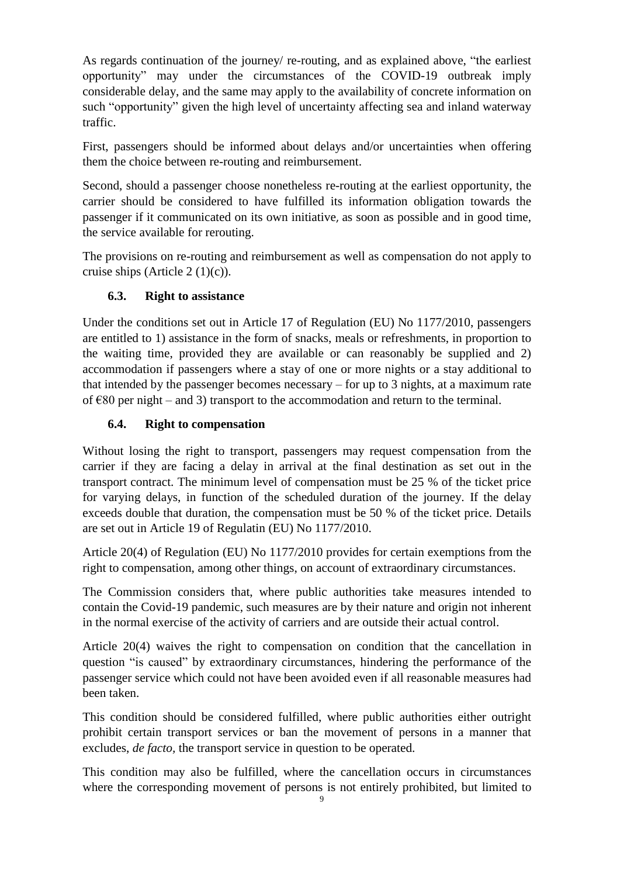As regards continuation of the journey/ re-routing, and as explained above, "the earliest opportunity" may under the circumstances of the COVID-19 outbreak imply considerable delay, and the same may apply to the availability of concrete information on such "opportunity" given the high level of uncertainty affecting sea and inland waterway traffic.

First, passengers should be informed about delays and/or uncertainties when offering them the choice between re-routing and reimbursement.

Second, should a passenger choose nonetheless re-routing at the earliest opportunity, the carrier should be considered to have fulfilled its information obligation towards the passenger if it communicated on its own initiative, as soon as possible and in good time, the service available for rerouting.

The provisions on re-routing and reimbursement as well as compensation do not apply to cruise ships (Article 2 (1)(c)).

### **6.3. Right to assistance**

Under the conditions set out in Article 17 of Regulation (EU) No 1177/2010, passengers are entitled to 1) assistance in the form of snacks, meals or refreshments, in proportion to the waiting time, provided they are available or can reasonably be supplied and 2) accommodation if passengers where a stay of one or more nights or a stay additional to that intended by the passenger becomes necessary – for up to 3 nights, at a maximum rate of  $\epsilon$ 80 per night – and 3) transport to the accommodation and return to the terminal.

#### **6.4. Right to compensation**

Without losing the right to transport, passengers may request compensation from the carrier if they are facing a delay in arrival at the final destination as set out in the transport contract. The minimum level of compensation must be 25 % of the ticket price for varying delays, in function of the scheduled duration of the journey. If the delay exceeds double that duration, the compensation must be 50 % of the ticket price. Details are set out in Article 19 of Regulatin (EU) No 1177/2010.

Article 20(4) of Regulation (EU) No 1177/2010 provides for certain exemptions from the right to compensation, among other things, on account of extraordinary circumstances.

The Commission considers that, where public authorities take measures intended to contain the Covid-19 pandemic, such measures are by their nature and origin not inherent in the normal exercise of the activity of carriers and are outside their actual control.

Article 20(4) waives the right to compensation on condition that the cancellation in question "is caused" by extraordinary circumstances, hindering the performance of the passenger service which could not have been avoided even if all reasonable measures had been taken.

This condition should be considered fulfilled, where public authorities either outright prohibit certain transport services or ban the movement of persons in a manner that excludes, *de facto,* the transport service in question to be operated.

This condition may also be fulfilled, where the cancellation occurs in circumstances where the corresponding movement of persons is not entirely prohibited, but limited to